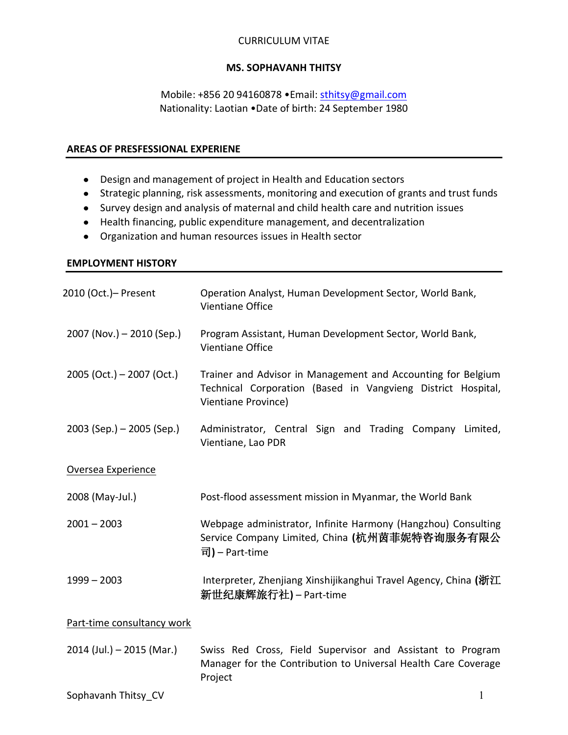### CURRICULUM VITAE

## **MS. SOPHAVANH THITSY**

# Mobile: +856 20 94160878 •Email: [sthitsy@gmail.com](mailto:sthitsy@gmail.com) Nationality: Laotian •Date of birth: 24 September 1980

#### **AREAS OF PRESFESSIONAL EXPERIENE**

- Design and management of project in Health and Education sectors
- Strategic planning, risk assessments, monitoring and execution of grants and trust funds
- Survey design and analysis of maternal and child health care and nutrition issues
- Health financing, public expenditure management, and decentralization
- Organization and human resources issues in Health sector

# **EMPLOYMENT HISTORY**

| 2010 (Oct.)- Present        | Operation Analyst, Human Development Sector, World Bank,<br>Vientiane Office                                                                        |
|-----------------------------|-----------------------------------------------------------------------------------------------------------------------------------------------------|
| $2007$ (Nov.) – 2010 (Sep.) | Program Assistant, Human Development Sector, World Bank,<br>Vientiane Office                                                                        |
| $2005$ (Oct.) – 2007 (Oct.) | Trainer and Advisor in Management and Accounting for Belgium<br>Technical Corporation (Based in Vangvieng District Hospital,<br>Vientiane Province) |
| $2003$ (Sep.) – 2005 (Sep.) | Administrator, Central Sign and Trading Company Limited,<br>Vientiane, Lao PDR                                                                      |
| Oversea Experience          |                                                                                                                                                     |
| 2008 (May-Jul.)             | Post-flood assessment mission in Myanmar, the World Bank                                                                                            |
| $2001 - 2003$               | Webpage administrator, Infinite Harmony (Hangzhou) Consulting<br>Service Company Limited, China (杭州茵菲妮特咨询服务有限公<br>司) – Part-time                    |
| $1999 - 2003$               | Interpreter, Zhenjiang Xinshijikanghui Travel Agency, China (浙江<br>新世纪康辉旅行社) – Part-time                                                            |
| Part-time consultancy work  |                                                                                                                                                     |
| $2014$ (Jul.) - 2015 (Mar.) | Swiss Red Cross, Field Supervisor and Assistant to Program<br>Manager for the Contribution to Universal Health Care Coverage<br>Project             |
| Sophavanh Thitsy CV         | 1                                                                                                                                                   |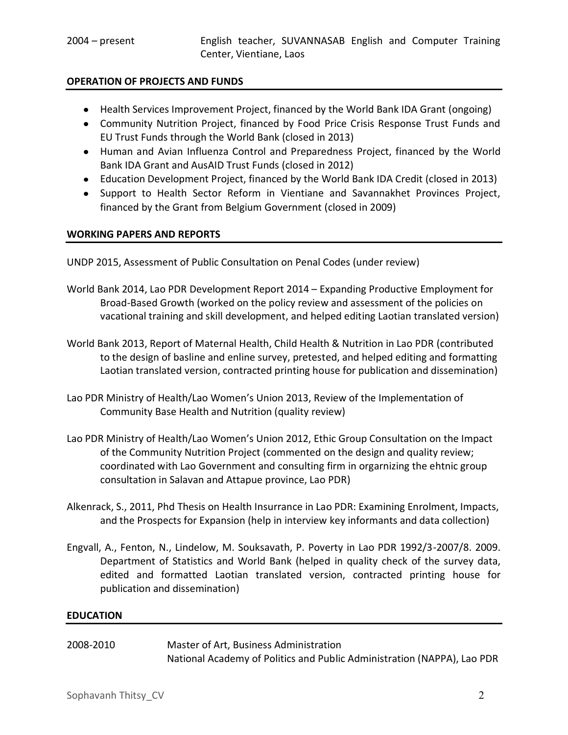# **OPERATION OF PROJECTS AND FUNDS**

- Health Services Improvement Project, financed by the World Bank IDA Grant (ongoing)
- Community Nutrition Project, financed by Food Price Crisis Response Trust Funds and EU Trust Funds through the World Bank (closed in 2013)
- Human and Avian Influenza Control and Preparedness Project, financed by the World Bank IDA Grant and AusAID Trust Funds (closed in 2012)
- Education Development Project, financed by the World Bank IDA Credit (closed in 2013)
- Support to Health Sector Reform in Vientiane and Savannakhet Provinces Project, financed by the Grant from Belgium Government (closed in 2009)

### **WORKING PAPERS AND REPORTS**

UNDP 2015, Assessment of Public Consultation on Penal Codes (under review)

- World Bank 2014, Lao PDR Development Report 2014 Expanding Productive Employment for Broad-Based Growth (worked on the policy review and assessment of the policies on vacational training and skill development, and helped editing Laotian translated version)
- World Bank 2013, Report of Maternal Health, Child Health & Nutrition in Lao PDR (contributed to the design of basline and enline survey, pretested, and helped editing and formatting Laotian translated version, contracted printing house for publication and dissemination)
- Lao PDR Ministry of Health/Lao Women's Union 2013, Review of the Implementation of Community Base Health and Nutrition (quality review)
- Lao PDR Ministry of Health/Lao Women's Union 2012, Ethic Group Consultation on the Impact of the Community Nutrition Project (commented on the design and quality review; coordinated with Lao Government and consulting firm in orgarnizing the ehtnic group consultation in Salavan and Attapue province, Lao PDR)
- Alkenrack, S., 2011, Phd Thesis on Health Insurrance in Lao PDR: Examining Enrolment, Impacts, and the Prospects for Expansion (help in interview key informants and data collection)
- Engvall, A., Fenton, N., Lindelow, M. Souksavath, P. Poverty in Lao PDR 1992/3-2007/8. 2009. Department of Statistics and World Bank (helped in quality check of the survey data, edited and formatted Laotian translated version, contracted printing house for publication and dissemination)

#### **EDUCATION**

| 2008-2010 | Master of Art, Business Administration                                  |
|-----------|-------------------------------------------------------------------------|
|           | National Academy of Politics and Public Administration (NAPPA), Lao PDR |